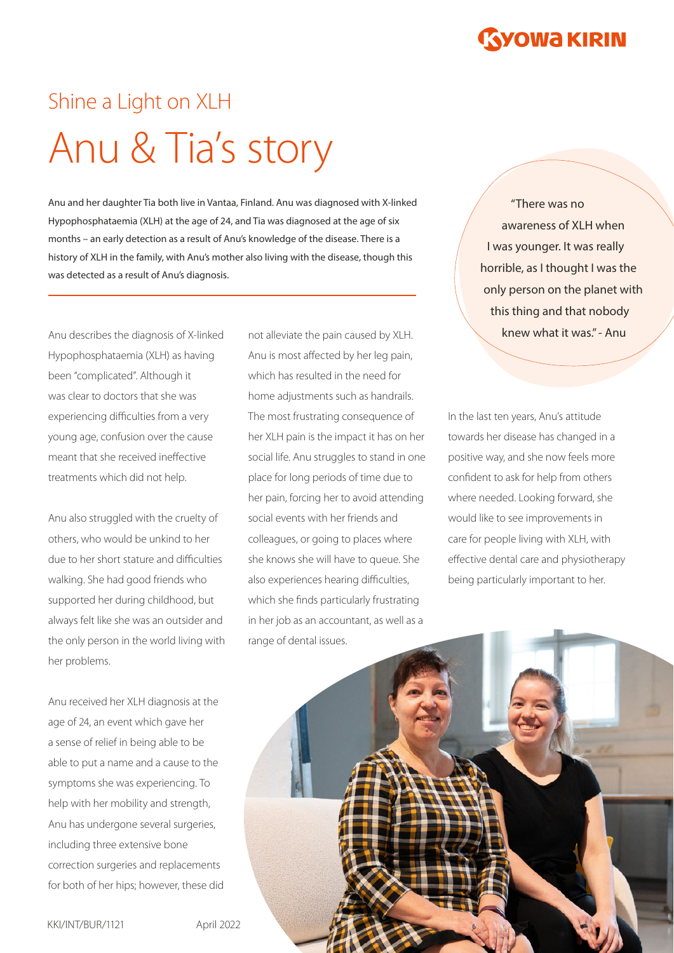# Shine a Light on XLH Anu & Tia's story

Anu and her daughter Tia both live in Vantaa, Finland. Anu was diagnosed with X-linked Hypophosphataemia (XLH) at the age of 24, and Tia was diagnosed at the age of six months – an early detection as a result of Anu's knowledge of the disease. There is a history of XLH in the family, with Anu's mother also living with the disease, though this was detected as a result of Anu's diagnosis.

Hypophosphataemia (XLH) as having been "complicated". Although it was clear to doctors that she was experiencing difficulties from a very young age, confusion over the cause meant that she received ineffective treatments which did not help.

Anu also struggled with the cruelty of others, who would be unkind to her due to her short stature and difficulties walking. She had good friends who supported her during childhood, but always felt like she was an outsider and the only person in the world living with her problems.

Anu received her XLH diagnosis at the age of 24, an event which gave her a sense of relief in being able to be able to put a name and a cause to the symptoms she was experiencing. To help with her mobility and strength, Anu has undergone several surgeries, including three extensive bone correction surgeries and replacements for both of her hips; however, these did

Anu describes the diagnosis of X-linked not alleviate the pain caused by XLH. **Knew what it was." - Anu** not alleviate the pain caused by XLH. Anu is most affected by her leg pain, which has resulted in the need for home adjustments such as handrails. The most frustrating consequence of her XLH pain is the impact it has on her social life. Anu struggles to stand in one place for long periods of time due to her pain, forcing her to avoid attending social events with her friends and colleagues, or going to places where she knows she will have to queue. She also experiences hearing difficulties, which she finds particularly frustrating in her job as an accountant, as well as a range of dental issues.

"There was no awareness of XLH when I was younger. It was really horrible, as I thought I was the only person on the planet with this thing and that nobody

In the last ten years, Anu's attitude towards her disease has changed in a positive way, and she now feels more confident to ask for help from others where needed. Looking forward, she would like to see improvements in care for people living with XLH, with effective dental care and physiotherapy being particularly important to her.

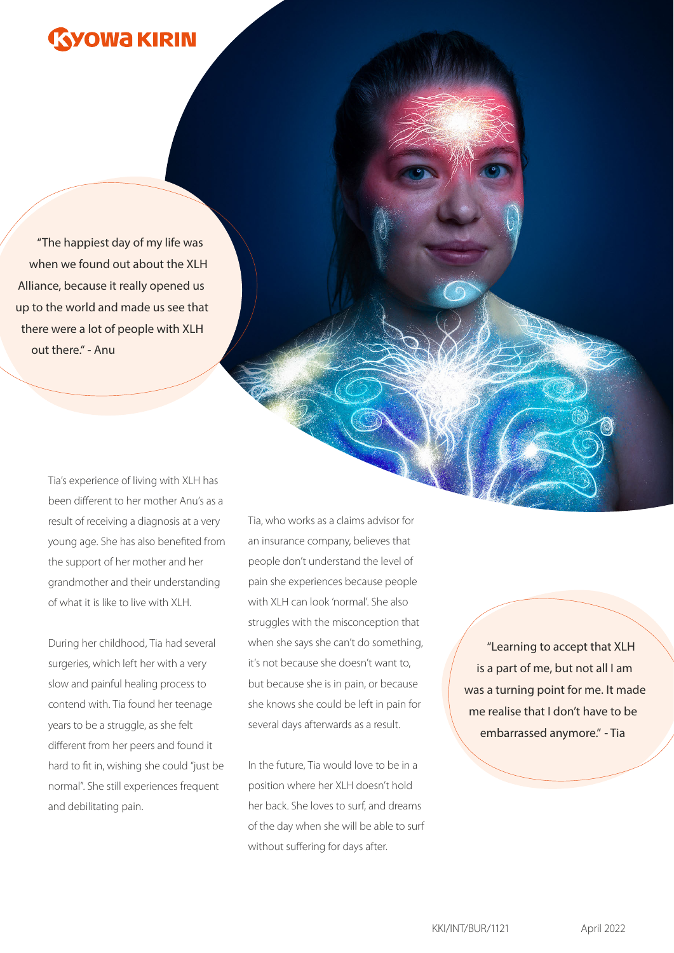## **YOWA KIRIN**

"The happiest day of my life was when we found out about the XLH Alliance, because it really opened us up to the world and made us see that there were a lot of people with XLH out there." - Anu

> Tia's experience of living with XLH has been different to her mother Anu's as a result of receiving a diagnosis at a very young age. She has also benefited from the support of her mother and her grandmother and their understanding of what it is like to live with XLH.

During her childhood, Tia had several surgeries, which left her with a very slow and painful healing process to contend with. Tia found her teenage years to be a struggle, as she felt different from her peers and found it hard to fit in, wishing she could "just be normal". She still experiences frequent and debilitating pain.

Tia, who works as a claims advisor for an insurance company, believes that people don't understand the level of pain she experiences because people with XLH can look 'normal'. She also struggles with the misconception that when she says she can't do something, it's not because she doesn't want to, but because she is in pain, or because she knows she could be left in pain for several days afterwards as a result.

In the future, Tia would love to be in a position where her XLH doesn't hold her back. She loves to surf, and dreams of the day when she will be able to surf without suffering for days after.

"Learning to accept that XLH is a part of me, but not all I am was a turning point for me. It made me realise that I don't have to be embarrassed anymore." - Tia